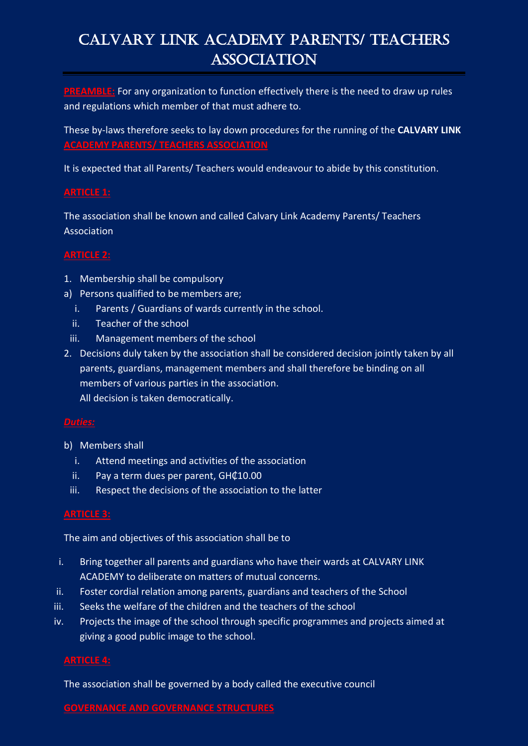# CALVARY LINK ACADEMY PARENTS/ TEACHERS ASSOCIATION

**PREAMBLE:** For any organization to function effectively there is the need to draw up rules and regulations which member of that must adhere to.

These by-laws therefore seeks to lay down procedures for the running of the **CALVARY LINK ACADEMY PARENTS/ TEACHERS ASSOCIATION**

It is expected that all Parents/ Teachers would endeavour to abide by this constitution.

# **ARTICLE 1:**

The association shall be known and called Calvary Link Academy Parents/ Teachers Association

### **ARTICLE 2:**

- 1. Membership shall be compulsory
- a) Persons qualified to be members are;
	- i. Parents / Guardians of wards currently in the school.
	- ii. Teacher of the school
	- iii. Management members of the school
- 2. Decisions duly taken by the association shall be considered decision jointly taken by all parents, guardians, management members and shall therefore be binding on all members of various parties in the association. All decision is taken democratically.

- b) Members shall
	- i. Attend meetings and activities of the association
	- ii. Pay a term dues per parent, GH¢10.00
	- iii. Respect the decisions of the association to the latter

The aim and objectives of this association shall be to

- i. Bring together all parents and guardians who have their wards at CALVARY LINK ACADEMY to deliberate on matters of mutual concerns.
- ii. Foster cordial relation among parents, guardians and teachers of the School
- iii. Seeks the welfare of the children and the teachers of the school
- iv. Projects the image of the school through specific programmes and projects aimed at giving a good public image to the school.

# **ARTICLE 4:**

The association shall be governed by a body called the executive council

**GOVERNANCE AND GOVERNANCE STRUCTURES**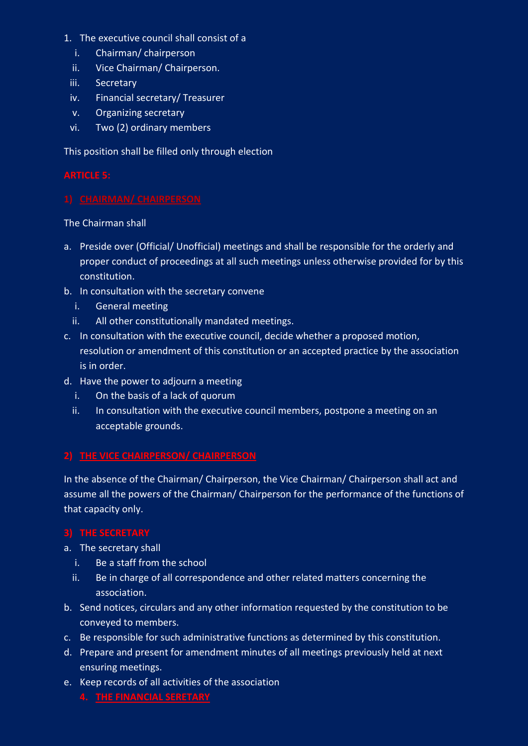- 1. The executive council shall consist of a
	- i. Chairman/ chairperson
	- ii. Vice Chairman/ Chairperson.
	- iii. Secretary
	- iv. Financial secretary/ Treasurer
	- v. Organizing secretary
	- vi. Two (2) ordinary members

This position shall be filled only through election

The Chairman shall

- a. Preside over (Official/ Unofficial) meetings and shall be responsible for the orderly and proper conduct of proceedings at all such meetings unless otherwise provided for by this constitution.
- b. In consultation with the secretary convene
	- i. General meeting
	- ii. All other constitutionally mandated meetings.
- c. In consultation with the executive council, decide whether a proposed motion, resolution or amendment of this constitution or an accepted practice by the association is in order.
- d. Have the power to adjourn a meeting
	- i. On the basis of a lack of quorum
	- ii. In consultation with the executive council members, postpone a meeting on an acceptable grounds.

# **2) THE VICE CHAIRPERSON/ CHAIRPERSON**

In the absence of the Chairman/ Chairperson, the Vice Chairman/ Chairperson shall act and assume all the powers of the Chairman/ Chairperson for the performance of the functions of that capacity only.

- a. The secretary shall
	- i. Be a staff from the school
	- ii. Be in charge of all correspondence and other related matters concerning the association.
- b. Send notices, circulars and any other information requested by the constitution to be conveyed to members.
- c. Be responsible for such administrative functions as determined by this constitution.
- d. Prepare and present for amendment minutes of all meetings previously held at next ensuring meetings.
- e. Keep records of all activities of the association
	- **4. THE FINANCIAL SERETARY**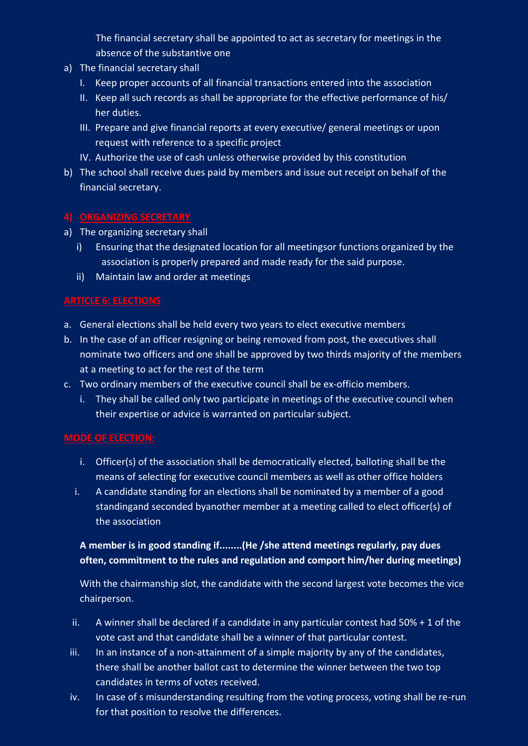The financial secretary shall be appointed to act as secretary for meetings in the absence of the substantive one

- a) The financial secretary shall
	- I. Keep proper accounts of all financial transactions entered into the association
	- II. Keep all such records as shall be appropriate for the effective performance of his/ her duties.
	- III. Prepare and give financial reports at every executive/ general meetings or upon request with reference to a specific project
	- IV. Authorize the use of cash unless otherwise provided by this constitution
- b) The school shall receive dues paid by members and issue out receipt on behalf of the financial secretary.

# **4) ORGANIZING SECRETARY**

- a) The organizing secretary shall
	- i) Ensuring that the designated location for all meetingsor functions organized by the association is properly prepared and made ready for the said purpose.
	- ii) Maintain law and order at meetings

# **ARTICLE 6: ELECTIONS**

- a. General elections shall be held every two years to elect executive members
- b. In the case of an officer resigning or being removed from post, the executives shall nominate two officers and one shall be approved by two thirds majority of the members at a meeting to act for the rest of the term
- c. Two ordinary members of the executive council shall be ex-officio members.
	- i. They shall be called only two participate in meetings of the executive council when their expertise or advice is warranted on particular subject.

# **MODE OF ELECTION:**

- i. Officer(s) of the association shall be democratically elected, balloting shall be the means of selecting for executive council members as well as other office holders
- i. A candidate standing for an elections shall be nominated by a member of a good standingand seconded byanother member at a meeting called to elect officer(s) of the association

# **A member is in good standing if........(He /she attend meetings regularly, pay dues often, commitment to the rules and regulation and comport him/her during meetings)**

With the chairmanship slot, the candidate with the second largest vote becomes the vice chairperson.

- ii. A winner shall be declared if a candidate in any particular contest had  $50\% + 1$  of the vote cast and that candidate shall be a winner of that particular contest.
- iii. In an instance of a non-attainment of a simple majority by any of the candidates, there shall be another ballot cast to determine the winner between the two top candidates in terms of votes received.
- iv. In case of s misunderstanding resulting from the voting process, voting shall be re-run for that position to resolve the differences.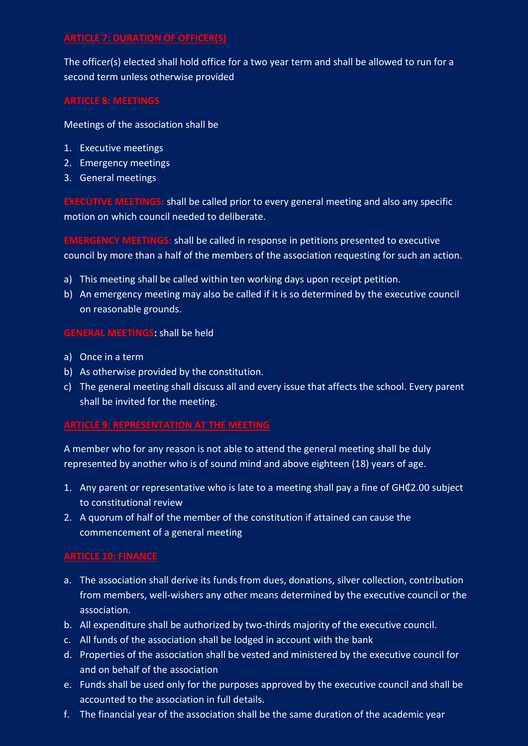### **ARTICLE 7: DURATION OF OFFICER(S)**

The officer(s) elected shall hold office for a two year term and shall be allowed to run for a second term unless otherwise provided

Meetings of the association shall be

- 1. Executive meetings
- 2. Emergency meetings
- 3. General meetings

**EXECUTIVE MEETINGS:** shall be called prior to every general meeting and also any specific motion on which council needed to deliberate.

**EMERGENCY MEETINGS:** shall be called in response in petitions presented to executive council by more than a half of the members of the association requesting for such an action.

- a) This meeting shall be called within ten working days upon receipt petition.
- b) An emergency meeting may also be called if it is so determined by the executive council on reasonable grounds.

### **GENERAL MEETINGS:** shall be held

- a) Once in a term
- b) As otherwise provided by the constitution.
- c) The general meeting shall discuss all and every issue that affects the school. Every parent shall be invited for the meeting.

### **ARTICLE 9: REPRESENTATION AT THE MEETING**

A member who for any reason is not able to attend the general meeting shall be duly represented by another who is of sound mind and above eighteen (18) years of age.

- 1. Any parent or representative who is late to a meeting shall pay a fine of GH₵2.00 subject to constitutional review
- 2. A quorum of half of the member of the constitution if attained can cause the commencement of a general meeting

# **ARTICLE 10: FINANCE**

- a. The association shall derive its funds from dues, donations, silver collection, contribution from members, well-wishers any other means determined by the executive council or the association.
- b. All expenditure shall be authorized by two-thirds majority of the executive council.
- c. All funds of the association shall be lodged in account with the bank
- d. Properties of the association shall be vested and ministered by the executive council for and on behalf of the association
- e. Funds shall be used only for the purposes approved by the executive council and shall be accounted to the association in full details.
- f. The financial year of the association shall be the same duration of the academic year